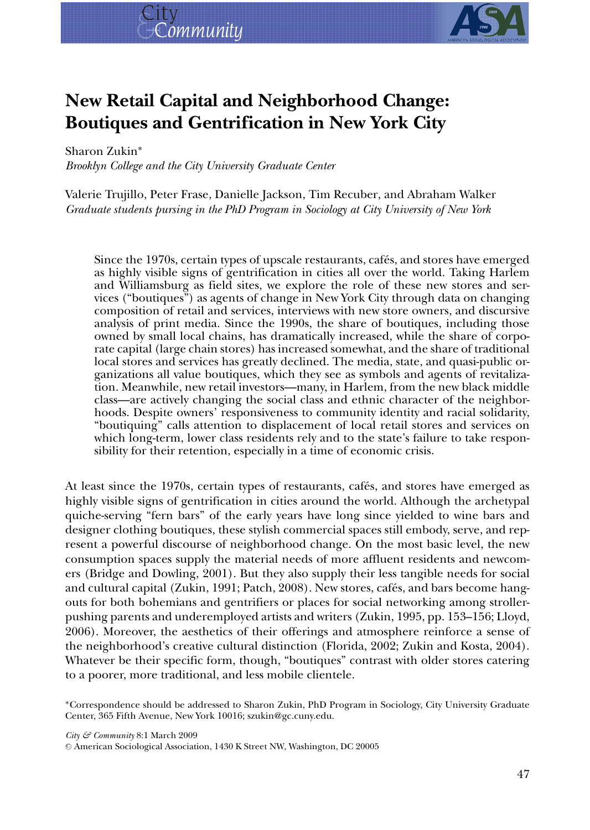



# **New Retail Capital and Neighborhood Change: Boutiques and Gentrification in New York City**

Sharon Zukin<sup>∗</sup>

*Brooklyn College and the City University Graduate Center*

Valerie Trujillo, Peter Frase, Danielle Jackson, Tim Recuber, and Abraham Walker *Graduate students pursing in the PhD Program in Sociology at City University of New York*

Since the 1970s, certain types of upscale restaurants, cafés, and stores have emerged as highly visible signs of gentrification in cities all over the world. Taking Harlem and Williamsburg as field sites, we explore the role of these new stores and services ("boutiques") as agents of change in New York City through data on changing composition of retail and services, interviews with new store owners, and discursive analysis of print media. Since the 1990s, the share of boutiques, including those owned by small local chains, has dramatically increased, while the share of corporate capital (large chain stores) has increased somewhat, and the share of traditional local stores and services has greatly declined. The media, state, and quasi-public organizations all value boutiques, which they see as symbols and agents of revitalization. Meanwhile, new retail investors—many, in Harlem, from the new black middle class—are actively changing the social class and ethnic character of the neighborhoods. Despite owners' responsiveness to community identity and racial solidarity, "boutiquing" calls attention to displacement of local retail stores and services on which long-term, lower class residents rely and to the state's failure to take responsibility for their retention, especially in a time of economic crisis.

At least since the 1970s, certain types of restaurants, cafés, and stores have emerged as highly visible signs of gentrification in cities around the world. Although the archetypal quiche-serving "fern bars" of the early years have long since yielded to wine bars and designer clothing boutiques, these stylish commercial spaces still embody, serve, and represent a powerful discourse of neighborhood change. On the most basic level, the new consumption spaces supply the material needs of more affluent residents and newcomers (Bridge and Dowling, 2001). But they also supply their less tangible needs for social and cultural capital (Zukin, 1991; Patch, 2008). New stores, cafés, and bars become hangouts for both bohemians and gentrifiers or places for social networking among strollerpushing parents and underemployed artists and writers (Zukin, 1995, pp. 153–156; Lloyd, 2006). Moreover, the aesthetics of their offerings and atmosphere reinforce a sense of the neighborhood's creative cultural distinction (Florida, 2002; Zukin and Kosta, 2004). Whatever be their specific form, though, "boutiques" contrast with older stores catering to a poorer, more traditional, and less mobile clientele.

<sup>∗</sup>Correspondence should be addressed to Sharon Zukin, PhD Program in Sociology, City University Graduate Center, 365 Fifth Avenue, New York 10016; szukin@gc.cuny.edu.

*City & Community* 8:1 March 2009

<sup>C</sup> American Sociological Association, 1430 K Street NW, Washington, DC 20005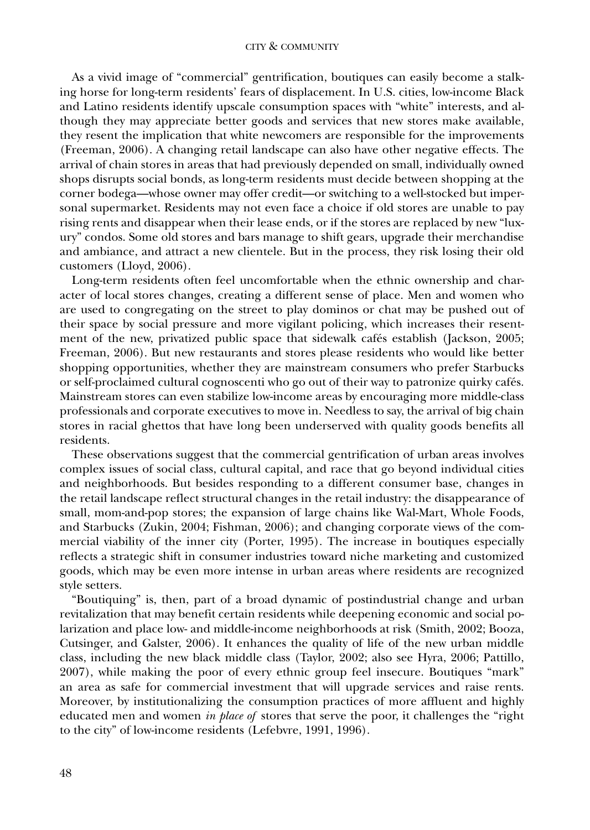As a vivid image of "commercial" gentrification, boutiques can easily become a stalking horse for long-term residents' fears of displacement. In U.S. cities, low-income Black and Latino residents identify upscale consumption spaces with "white" interests, and although they may appreciate better goods and services that new stores make available, they resent the implication that white newcomers are responsible for the improvements (Freeman, 2006). A changing retail landscape can also have other negative effects. The arrival of chain stores in areas that had previously depended on small, individually owned shops disrupts social bonds, as long-term residents must decide between shopping at the corner bodega—whose owner may offer credit—or switching to a well-stocked but impersonal supermarket. Residents may not even face a choice if old stores are unable to pay rising rents and disappear when their lease ends, or if the stores are replaced by new "luxury" condos. Some old stores and bars manage to shift gears, upgrade their merchandise and ambiance, and attract a new clientele. But in the process, they risk losing their old customers (Lloyd, 2006).

Long-term residents often feel uncomfortable when the ethnic ownership and character of local stores changes, creating a different sense of place. Men and women who are used to congregating on the street to play dominos or chat may be pushed out of their space by social pressure and more vigilant policing, which increases their resentment of the new, privatized public space that sidewalk cafés establish (Jackson, 2005; Freeman, 2006). But new restaurants and stores please residents who would like better shopping opportunities, whether they are mainstream consumers who prefer Starbucks or self-proclaimed cultural cognoscenti who go out of their way to patronize quirky cafes. ´ Mainstream stores can even stabilize low-income areas by encouraging more middle-class professionals and corporate executives to move in. Needless to say, the arrival of big chain stores in racial ghettos that have long been underserved with quality goods benefits all residents.

These observations suggest that the commercial gentrification of urban areas involves complex issues of social class, cultural capital, and race that go beyond individual cities and neighborhoods. But besides responding to a different consumer base, changes in the retail landscape reflect structural changes in the retail industry: the disappearance of small, mom-and-pop stores; the expansion of large chains like Wal-Mart, Whole Foods, and Starbucks (Zukin, 2004; Fishman, 2006); and changing corporate views of the commercial viability of the inner city (Porter, 1995). The increase in boutiques especially reflects a strategic shift in consumer industries toward niche marketing and customized goods, which may be even more intense in urban areas where residents are recognized style setters.

"Boutiquing" is, then, part of a broad dynamic of postindustrial change and urban revitalization that may benefit certain residents while deepening economic and social polarization and place low- and middle-income neighborhoods at risk (Smith, 2002; Booza, Cutsinger, and Galster, 2006). It enhances the quality of life of the new urban middle class, including the new black middle class (Taylor, 2002; also see Hyra, 2006; Pattillo, 2007), while making the poor of every ethnic group feel insecure. Boutiques "mark" an area as safe for commercial investment that will upgrade services and raise rents. Moreover, by institutionalizing the consumption practices of more affluent and highly educated men and women *in place of* stores that serve the poor, it challenges the "right to the city" of low-income residents (Lefebvre, 1991, 1996).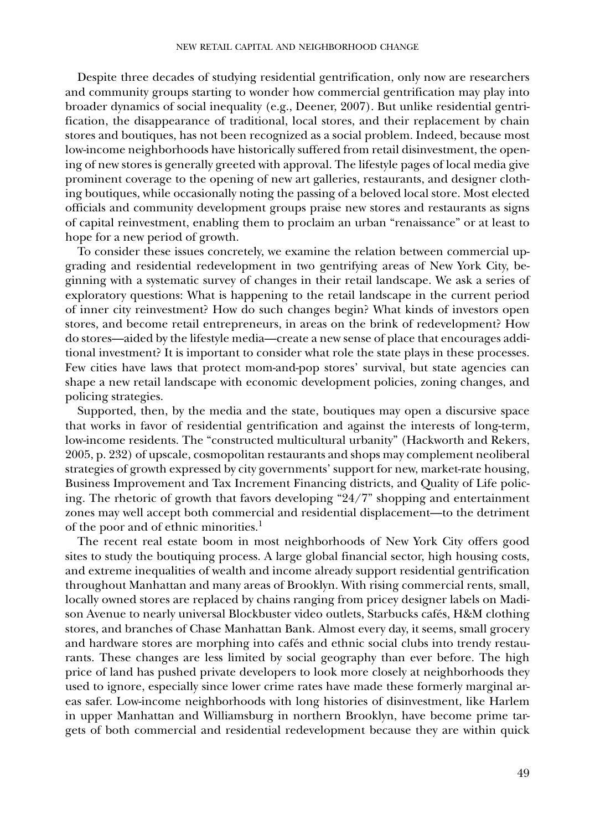Despite three decades of studying residential gentrification, only now are researchers and community groups starting to wonder how commercial gentrification may play into broader dynamics of social inequality (e.g., Deener, 2007). But unlike residential gentrification, the disappearance of traditional, local stores, and their replacement by chain stores and boutiques, has not been recognized as a social problem. Indeed, because most low-income neighborhoods have historically suffered from retail disinvestment, the opening of new stores is generally greeted with approval. The lifestyle pages of local media give prominent coverage to the opening of new art galleries, restaurants, and designer clothing boutiques, while occasionally noting the passing of a beloved local store. Most elected officials and community development groups praise new stores and restaurants as signs of capital reinvestment, enabling them to proclaim an urban "renaissance" or at least to hope for a new period of growth.

To consider these issues concretely, we examine the relation between commercial upgrading and residential redevelopment in two gentrifying areas of New York City, beginning with a systematic survey of changes in their retail landscape. We ask a series of exploratory questions: What is happening to the retail landscape in the current period of inner city reinvestment? How do such changes begin? What kinds of investors open stores, and become retail entrepreneurs, in areas on the brink of redevelopment? How do stores—aided by the lifestyle media—create a new sense of place that encourages additional investment? It is important to consider what role the state plays in these processes. Few cities have laws that protect mom-and-pop stores' survival, but state agencies can shape a new retail landscape with economic development policies, zoning changes, and policing strategies.

Supported, then, by the media and the state, boutiques may open a discursive space that works in favor of residential gentrification and against the interests of long-term, low-income residents. The "constructed multicultural urbanity" (Hackworth and Rekers, 2005, p. 232) of upscale, cosmopolitan restaurants and shops may complement neoliberal strategies of growth expressed by city governments' support for new, market-rate housing, Business Improvement and Tax Increment Financing districts, and Quality of Life policing. The rhetoric of growth that favors developing "24/7" shopping and entertainment zones may well accept both commercial and residential displacement—to the detriment of the poor and of ethnic minorities.<sup>1</sup>

The recent real estate boom in most neighborhoods of New York City offers good sites to study the boutiquing process. A large global financial sector, high housing costs, and extreme inequalities of wealth and income already support residential gentrification throughout Manhattan and many areas of Brooklyn. With rising commercial rents, small, locally owned stores are replaced by chains ranging from pricey designer labels on Madison Avenue to nearly universal Blockbuster video outlets, Starbucks cafes, H&M clothing ´ stores, and branches of Chase Manhattan Bank. Almost every day, it seems, small grocery and hardware stores are morphing into cafes and ethnic social clubs into trendy restau- ´ rants. These changes are less limited by social geography than ever before. The high price of land has pushed private developers to look more closely at neighborhoods they used to ignore, especially since lower crime rates have made these formerly marginal areas safer. Low-income neighborhoods with long histories of disinvestment, like Harlem in upper Manhattan and Williamsburg in northern Brooklyn, have become prime targets of both commercial and residential redevelopment because they are within quick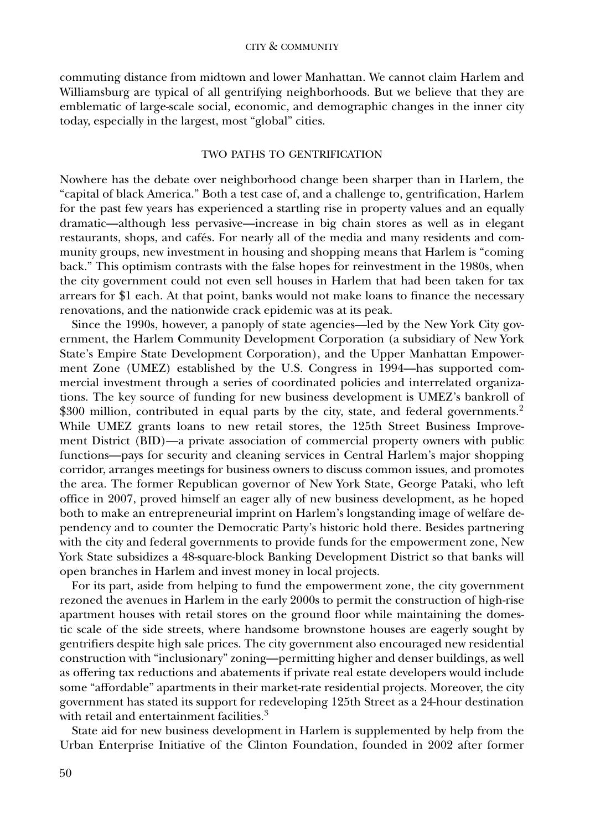commuting distance from midtown and lower Manhattan. We cannot claim Harlem and Williamsburg are typical of all gentrifying neighborhoods. But we believe that they are emblematic of large-scale social, economic, and demographic changes in the inner city today, especially in the largest, most "global" cities.

# TWO PATHS TO GENTRIFICATION

Nowhere has the debate over neighborhood change been sharper than in Harlem, the "capital of black America." Both a test case of, and a challenge to, gentrification, Harlem for the past few years has experienced a startling rise in property values and an equally dramatic—although less pervasive—increase in big chain stores as well as in elegant restaurants, shops, and cafés. For nearly all of the media and many residents and community groups, new investment in housing and shopping means that Harlem is "coming back." This optimism contrasts with the false hopes for reinvestment in the 1980s, when the city government could not even sell houses in Harlem that had been taken for tax arrears for \$1 each. At that point, banks would not make loans to finance the necessary renovations, and the nationwide crack epidemic was at its peak.

Since the 1990s, however, a panoply of state agencies—led by the New York City government, the Harlem Community Development Corporation (a subsidiary of New York State's Empire State Development Corporation), and the Upper Manhattan Empowerment Zone (UMEZ) established by the U.S. Congress in 1994—has supported commercial investment through a series of coordinated policies and interrelated organizations. The key source of funding for new business development is UMEZ's bankroll of  $$300$  million, contributed in equal parts by the city, state, and federal governments.<sup>2</sup> While UMEZ grants loans to new retail stores, the 125th Street Business Improvement District (BID)—a private association of commercial property owners with public functions—pays for security and cleaning services in Central Harlem's major shopping corridor, arranges meetings for business owners to discuss common issues, and promotes the area. The former Republican governor of New York State, George Pataki, who left office in 2007, proved himself an eager ally of new business development, as he hoped both to make an entrepreneurial imprint on Harlem's longstanding image of welfare dependency and to counter the Democratic Party's historic hold there. Besides partnering with the city and federal governments to provide funds for the empowerment zone, New York State subsidizes a 48-square-block Banking Development District so that banks will open branches in Harlem and invest money in local projects.

For its part, aside from helping to fund the empowerment zone, the city government rezoned the avenues in Harlem in the early 2000s to permit the construction of high-rise apartment houses with retail stores on the ground floor while maintaining the domestic scale of the side streets, where handsome brownstone houses are eagerly sought by gentrifiers despite high sale prices. The city government also encouraged new residential construction with "inclusionary" zoning—permitting higher and denser buildings, as well as offering tax reductions and abatements if private real estate developers would include some "affordable" apartments in their market-rate residential projects. Moreover, the city government has stated its support for redeveloping 125th Street as a 24-hour destination with retail and entertainment facilities.<sup>3</sup>

State aid for new business development in Harlem is supplemented by help from the Urban Enterprise Initiative of the Clinton Foundation, founded in 2002 after former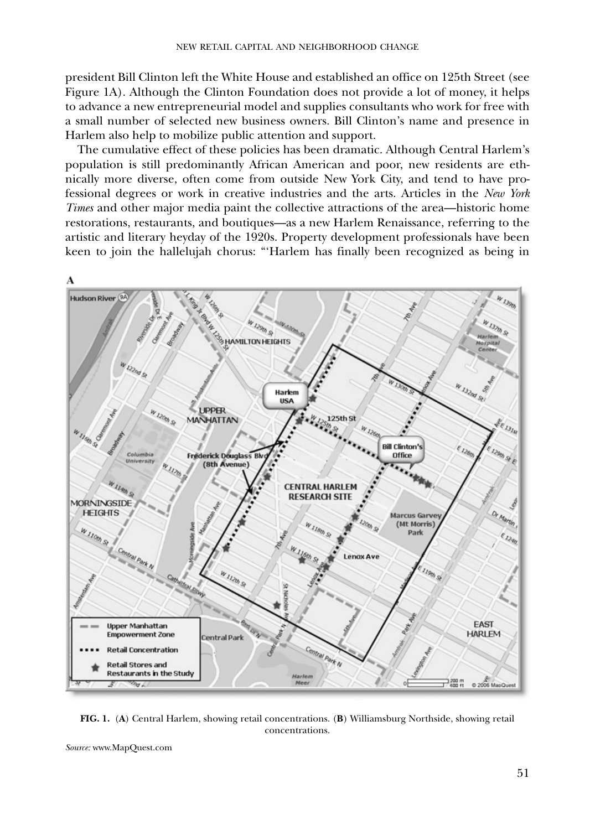president Bill Clinton left the White House and established an office on 125th Street (see Figure 1A). Although the Clinton Foundation does not provide a lot of money, it helps to advance a new entrepreneurial model and supplies consultants who work for free with a small number of selected new business owners. Bill Clinton's name and presence in Harlem also help to mobilize public attention and support.

The cumulative effect of these policies has been dramatic. Although Central Harlem's population is still predominantly African American and poor, new residents are ethnically more diverse, often come from outside New York City, and tend to have professional degrees or work in creative industries and the arts. Articles in the *New York Times* and other major media paint the collective attractions of the area—historic home restorations, restaurants, and boutiques—as a new Harlem Renaissance, referring to the artistic and literary heyday of the 1920s. Property development professionals have been keen to join the hallelujah chorus: "'Harlem has finally been recognized as being in



**FIG. 1.** (**A**) Central Harlem, showing retail concentrations. (**B**) Williamsburg Northside, showing retail concentrations.

*Source:* www.MapQuest.com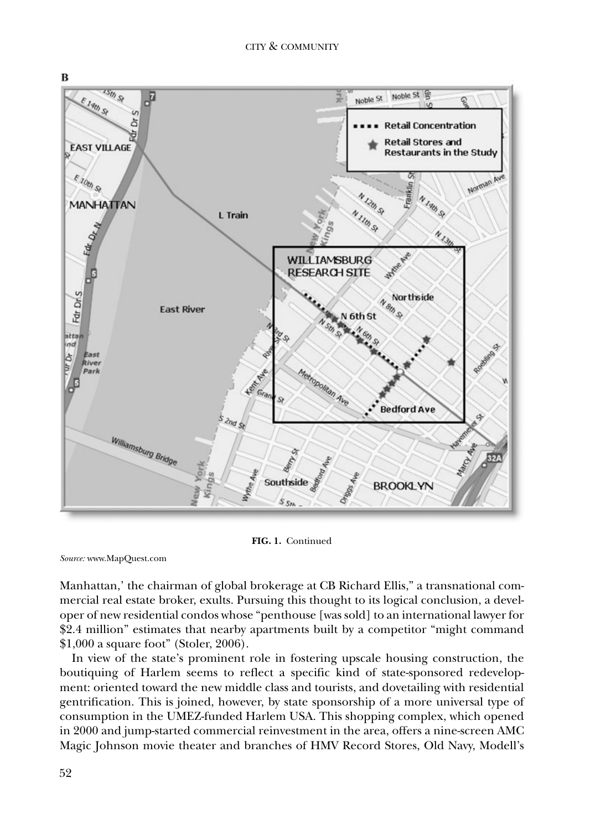

**FIG. 1.** Continued

*Source:* www.MapQuest.com

Manhattan,' the chairman of global brokerage at CB Richard Ellis," a transnational commercial real estate broker, exults. Pursuing this thought to its logical conclusion, a developer of new residential condos whose "penthouse [was sold] to an international lawyer for \$2.4 million" estimates that nearby apartments built by a competitor "might command \$1,000 a square foot" (Stoler, 2006).

In view of the state's prominent role in fostering upscale housing construction, the boutiquing of Harlem seems to reflect a specific kind of state-sponsored redevelopment: oriented toward the new middle class and tourists, and dovetailing with residential gentrification. This is joined, however, by state sponsorship of a more universal type of consumption in the UMEZ-funded Harlem USA. This shopping complex, which opened in 2000 and jump-started commercial reinvestment in the area, offers a nine-screen AMC Magic Johnson movie theater and branches of HMV Record Stores, Old Navy, Modell's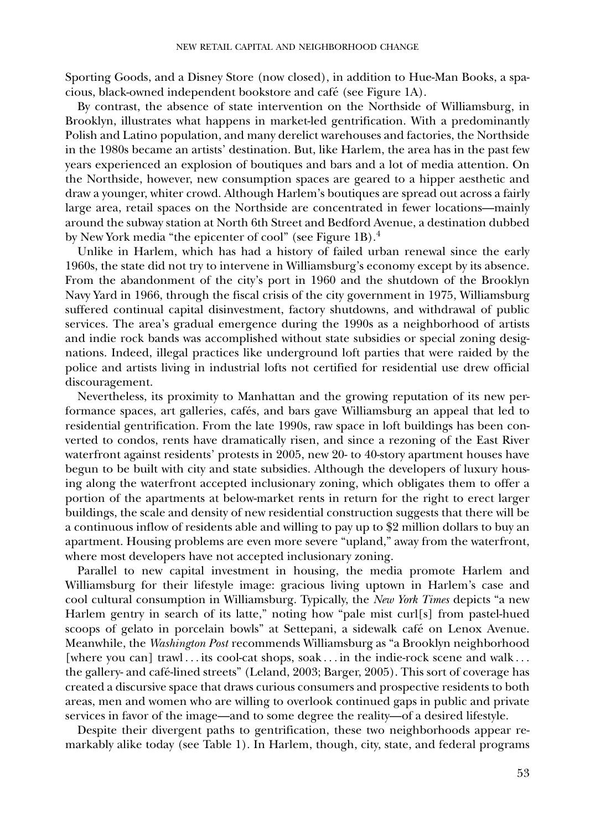Sporting Goods, and a Disney Store (now closed), in addition to Hue-Man Books, a spacious, black-owned independent bookstore and cafe (see Figure 1A). ´

By contrast, the absence of state intervention on the Northside of Williamsburg, in Brooklyn, illustrates what happens in market-led gentrification. With a predominantly Polish and Latino population, and many derelict warehouses and factories, the Northside in the 1980s became an artists' destination. But, like Harlem, the area has in the past few years experienced an explosion of boutiques and bars and a lot of media attention. On the Northside, however, new consumption spaces are geared to a hipper aesthetic and draw a younger, whiter crowd. Although Harlem's boutiques are spread out across a fairly large area, retail spaces on the Northside are concentrated in fewer locations—mainly around the subway station at North 6th Street and Bedford Avenue, a destination dubbed by New York media "the epicenter of cool" (see Figure 1B).<sup>4</sup>

Unlike in Harlem, which has had a history of failed urban renewal since the early 1960s, the state did not try to intervene in Williamsburg's economy except by its absence. From the abandonment of the city's port in 1960 and the shutdown of the Brooklyn Navy Yard in 1966, through the fiscal crisis of the city government in 1975, Williamsburg suffered continual capital disinvestment, factory shutdowns, and withdrawal of public services. The area's gradual emergence during the 1990s as a neighborhood of artists and indie rock bands was accomplished without state subsidies or special zoning designations. Indeed, illegal practices like underground loft parties that were raided by the police and artists living in industrial lofts not certified for residential use drew official discouragement.

Nevertheless, its proximity to Manhattan and the growing reputation of its new performance spaces, art galleries, cafés, and bars gave Williamsburg an appeal that led to residential gentrification. From the late 1990s, raw space in loft buildings has been converted to condos, rents have dramatically risen, and since a rezoning of the East River waterfront against residents' protests in 2005, new 20- to 40-story apartment houses have begun to be built with city and state subsidies. Although the developers of luxury housing along the waterfront accepted inclusionary zoning, which obligates them to offer a portion of the apartments at below-market rents in return for the right to erect larger buildings, the scale and density of new residential construction suggests that there will be a continuous inflow of residents able and willing to pay up to \$2 million dollars to buy an apartment. Housing problems are even more severe "upland," away from the waterfront, where most developers have not accepted inclusionary zoning.

Parallel to new capital investment in housing, the media promote Harlem and Williamsburg for their lifestyle image: gracious living uptown in Harlem's case and cool cultural consumption in Williamsburg. Typically, the *New York Times* depicts "a new Harlem gentry in search of its latte," noting how "pale mist curl[s] from pastel-hued scoops of gelato in porcelain bowls" at Settepani, a sidewalk cafe on Lenox Avenue. ´ Meanwhile, the *Washington Post* recommends Williamsburg as "a Brooklyn neighborhood [where you can] trawl ... its cool-cat shops, soak ... in the indie-rock scene and walk ... the gallery- and cafe-lined streets" (Leland, 2003; Barger, 2005). This sort of coverage has ´ created a discursive space that draws curious consumers and prospective residents to both areas, men and women who are willing to overlook continued gaps in public and private services in favor of the image—and to some degree the reality—of a desired lifestyle.

Despite their divergent paths to gentrification, these two neighborhoods appear remarkably alike today (see Table 1). In Harlem, though, city, state, and federal programs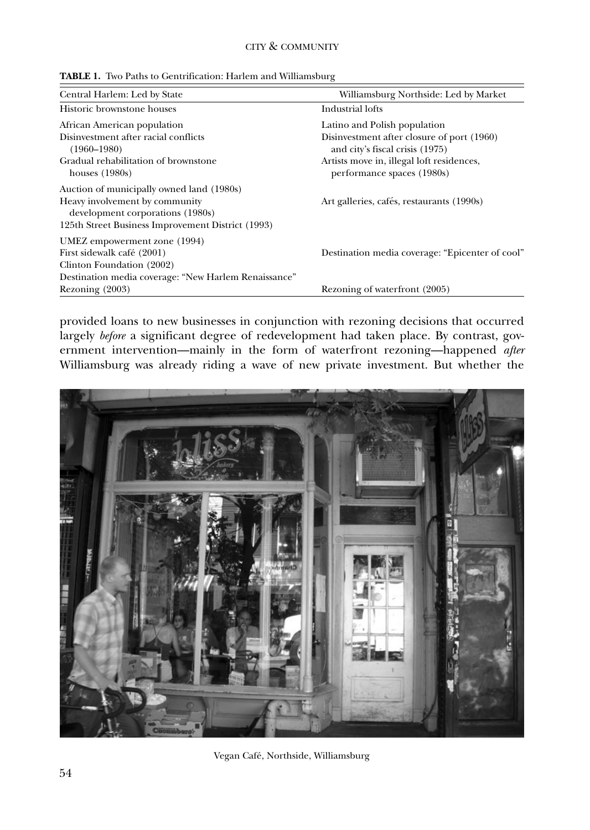# CITY & COMMUNITY

| Central Harlem: Led by State                                       | Williamsburg Northside: Led by Market                                         |
|--------------------------------------------------------------------|-------------------------------------------------------------------------------|
| Historic brownstone houses                                         | Industrial lofts                                                              |
| African American population                                        | Latino and Polish population                                                  |
| Disinvestment after racial conflicts<br>$(1960 - 1980)$            | Disinvestment after closure of port (1960)<br>and city's fiscal crisis (1975) |
| Gradual rehabilitation of brownstone<br>houses $(1980s)$           | Artists move in, illegal loft residences,<br>performance spaces (1980s)       |
| Auction of municipally owned land (1980s)                          |                                                                               |
| Heavy involvement by community<br>development corporations (1980s) | Art galleries, cafés, restaurants (1990s)                                     |
| 125th Street Business Improvement District (1993)                  |                                                                               |
| UMEZ empowerment zone (1994)                                       |                                                                               |
| First sidewalk café (2001)                                         | Destination media coverage: "Epicenter of cool"                               |
| Clinton Foundation (2002)                                          |                                                                               |
| Destination media coverage: "New Harlem Renaissance"               |                                                                               |
| Rezoning (2003)                                                    | Rezoning of waterfront (2005)                                                 |

**TABLE 1.** Two Paths to Gentrification: Harlem and Williamsburg

provided loans to new businesses in conjunction with rezoning decisions that occurred largely *before* a significant degree of redevelopment had taken place. By contrast, government intervention—mainly in the form of waterfront rezoning—happened *after* Williamsburg was already riding a wave of new private investment. But whether the



Vegan Cafe, Northside, Williamsburg ´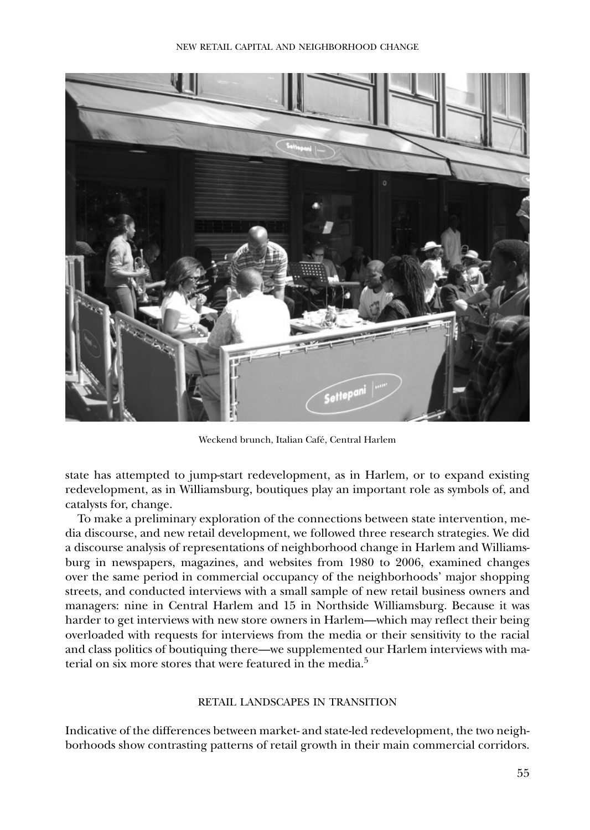

Weckend brunch, Italian Cafe, Central Harlem ´

state has attempted to jump-start redevelopment, as in Harlem, or to expand existing redevelopment, as in Williamsburg, boutiques play an important role as symbols of, and catalysts for, change.

To make a preliminary exploration of the connections between state intervention, media discourse, and new retail development, we followed three research strategies. We did a discourse analysis of representations of neighborhood change in Harlem and Williamsburg in newspapers, magazines, and websites from 1980 to 2006, examined changes over the same period in commercial occupancy of the neighborhoods' major shopping streets, and conducted interviews with a small sample of new retail business owners and managers: nine in Central Harlem and 15 in Northside Williamsburg. Because it was harder to get interviews with new store owners in Harlem—which may reflect their being overloaded with requests for interviews from the media or their sensitivity to the racial and class politics of boutiquing there—we supplemented our Harlem interviews with material on six more stores that were featured in the media.<sup>5</sup>

# RETAIL LANDSCAPES IN TRANSITION

Indicative of the differences between market- and state-led redevelopment, the two neighborhoods show contrasting patterns of retail growth in their main commercial corridors.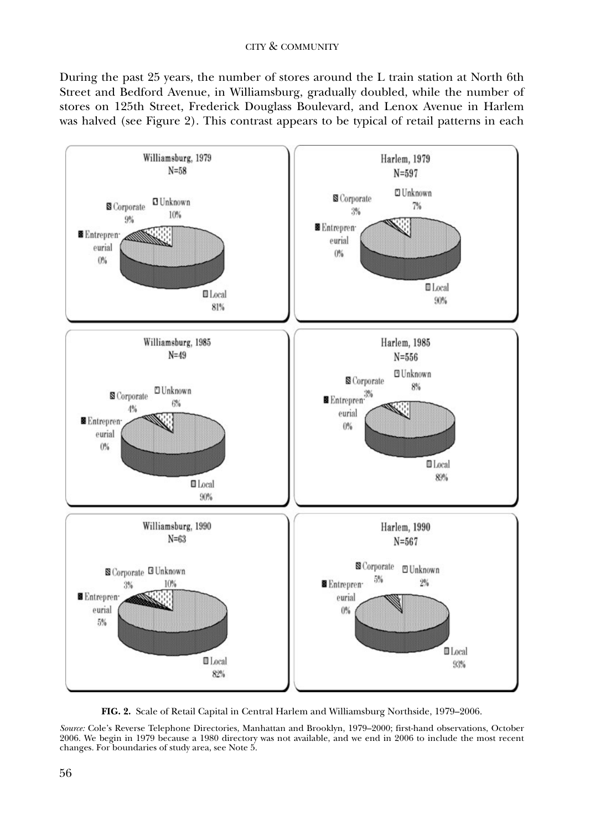# CITY & COMMUNITY

During the past 25 years, the number of stores around the L train station at North 6th Street and Bedford Avenue, in Williamsburg, gradually doubled, while the number of stores on 125th Street, Frederick Douglass Boulevard, and Lenox Avenue in Harlem was halved (see Figure 2). This contrast appears to be typical of retail patterns in each



**FIG. 2.** Scale of Retail Capital in Central Harlem and Williamsburg Northside, 1979–2006.

*Source:* Cole's Reverse Telephone Directories, Manhattan and Brooklyn, 1979–2000; first-hand observations, October 2006. We begin in 1979 because a 1980 directory was not available, and we end in 2006 to include the most recent changes. For boundaries of study area, see Note 5.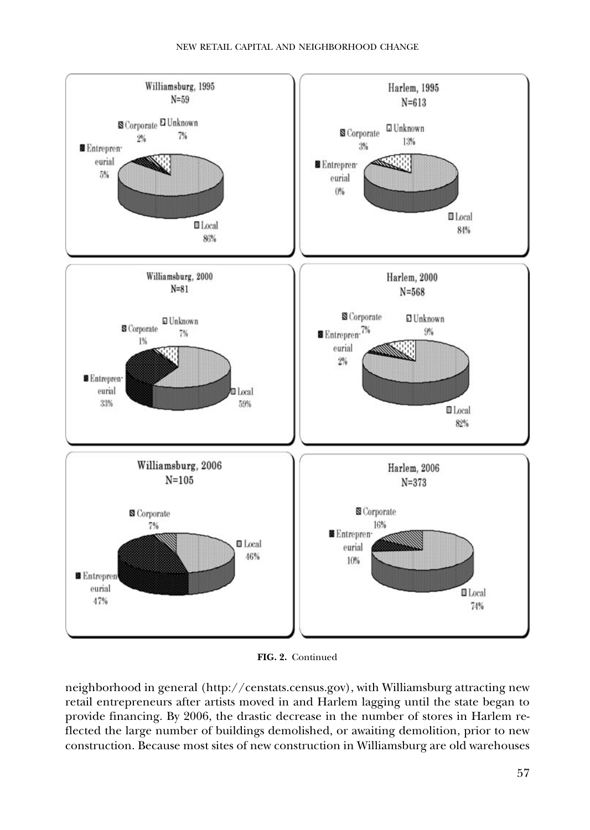

**FIG. 2.** Continued

neighborhood in general (http://censtats.census.gov), with Williamsburg attracting new retail entrepreneurs after artists moved in and Harlem lagging until the state began to provide financing. By 2006, the drastic decrease in the number of stores in Harlem reflected the large number of buildings demolished, or awaiting demolition, prior to new construction. Because most sites of new construction in Williamsburg are old warehouses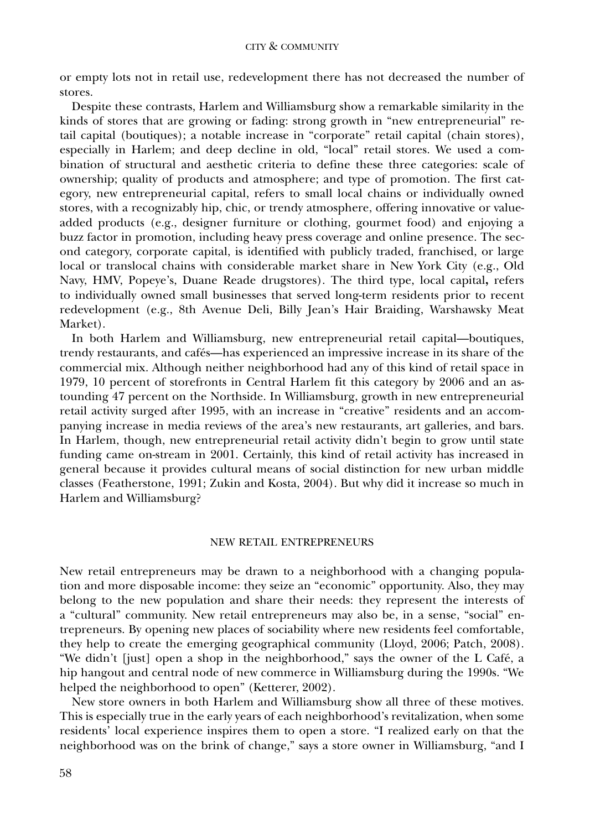or empty lots not in retail use, redevelopment there has not decreased the number of stores.

Despite these contrasts, Harlem and Williamsburg show a remarkable similarity in the kinds of stores that are growing or fading: strong growth in "new entrepreneurial" retail capital (boutiques); a notable increase in "corporate" retail capital (chain stores), especially in Harlem; and deep decline in old, "local" retail stores. We used a combination of structural and aesthetic criteria to define these three categories: scale of ownership; quality of products and atmosphere; and type of promotion. The first category, new entrepreneurial capital, refers to small local chains or individually owned stores, with a recognizably hip, chic, or trendy atmosphere, offering innovative or valueadded products (e.g., designer furniture or clothing, gourmet food) and enjoying a buzz factor in promotion, including heavy press coverage and online presence. The second category, corporate capital, is identified with publicly traded, franchised, or large local or translocal chains with considerable market share in New York City (e.g., Old Navy, HMV, Popeye's, Duane Reade drugstores). The third type, local capital**,** refers to individually owned small businesses that served long-term residents prior to recent redevelopment (e.g., 8th Avenue Deli, Billy Jean's Hair Braiding, Warshawsky Meat Market).

In both Harlem and Williamsburg, new entrepreneurial retail capital—boutiques, trendy restaurants, and cafés—has experienced an impressive increase in its share of the commercial mix. Although neither neighborhood had any of this kind of retail space in 1979, 10 percent of storefronts in Central Harlem fit this category by 2006 and an astounding 47 percent on the Northside. In Williamsburg, growth in new entrepreneurial retail activity surged after 1995, with an increase in "creative" residents and an accompanying increase in media reviews of the area's new restaurants, art galleries, and bars. In Harlem, though, new entrepreneurial retail activity didn't begin to grow until state funding came on-stream in 2001. Certainly, this kind of retail activity has increased in general because it provides cultural means of social distinction for new urban middle classes (Featherstone, 1991; Zukin and Kosta, 2004). But why did it increase so much in Harlem and Williamsburg?

#### NEW RETAIL ENTREPRENEURS

New retail entrepreneurs may be drawn to a neighborhood with a changing population and more disposable income: they seize an "economic" opportunity. Also, they may belong to the new population and share their needs: they represent the interests of a "cultural" community. New retail entrepreneurs may also be, in a sense, "social" entrepreneurs. By opening new places of sociability where new residents feel comfortable, they help to create the emerging geographical community (Lloyd, 2006; Patch, 2008). "We didn't [just] open a shop in the neighborhood," says the owner of the L Cafe, a ´ hip hangout and central node of new commerce in Williamsburg during the 1990s. "We helped the neighborhood to open" (Ketterer, 2002).

New store owners in both Harlem and Williamsburg show all three of these motives. This is especially true in the early years of each neighborhood's revitalization, when some residents' local experience inspires them to open a store. "I realized early on that the neighborhood was on the brink of change," says a store owner in Williamsburg, "and I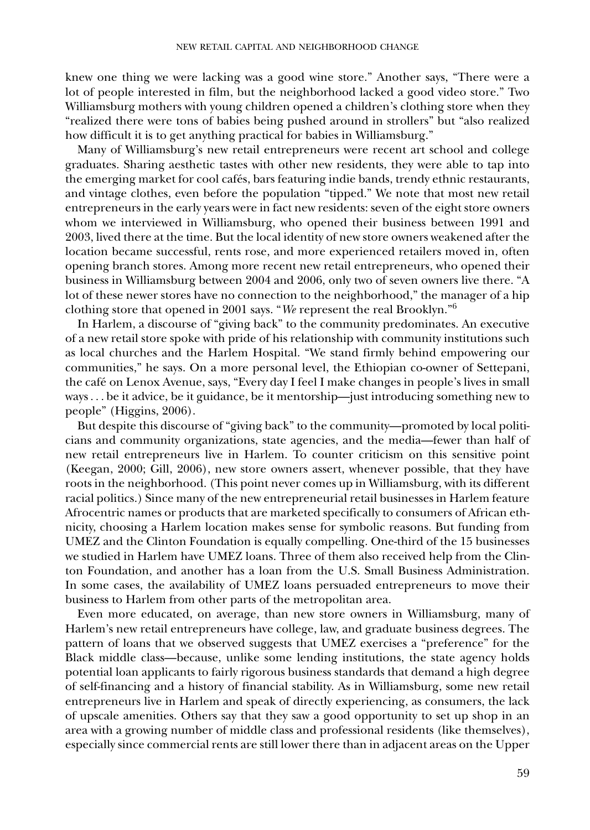knew one thing we were lacking was a good wine store." Another says, "There were a lot of people interested in film, but the neighborhood lacked a good video store." Two Williamsburg mothers with young children opened a children's clothing store when they "realized there were tons of babies being pushed around in strollers" but "also realized how difficult it is to get anything practical for babies in Williamsburg."

Many of Williamsburg's new retail entrepreneurs were recent art school and college graduates. Sharing aesthetic tastes with other new residents, they were able to tap into the emerging market for cool cafés, bars featuring indie bands, trendy ethnic restaurants, and vintage clothes, even before the population "tipped." We note that most new retail entrepreneurs in the early years were in fact new residents: seven of the eight store owners whom we interviewed in Williamsburg, who opened their business between 1991 and 2003, lived there at the time. But the local identity of new store owners weakened after the location became successful, rents rose, and more experienced retailers moved in, often opening branch stores. Among more recent new retail entrepreneurs, who opened their business in Williamsburg between 2004 and 2006, only two of seven owners live there. "A lot of these newer stores have no connection to the neighborhood," the manager of a hip clothing store that opened in 2001 says. "*We* represent the real Brooklyn."6

In Harlem, a discourse of "giving back" to the community predominates. An executive of a new retail store spoke with pride of his relationship with community institutions such as local churches and the Harlem Hospital. "We stand firmly behind empowering our communities," he says. On a more personal level, the Ethiopian co-owner of Settepani, the café on Lenox Avenue, says, "Every day I feel I make changes in people's lives in small ways... be it advice, be it guidance, be it mentorship—just introducing something new to people" (Higgins, 2006).

But despite this discourse of "giving back" to the community—promoted by local politicians and community organizations, state agencies, and the media—fewer than half of new retail entrepreneurs live in Harlem. To counter criticism on this sensitive point (Keegan, 2000; Gill, 2006), new store owners assert, whenever possible, that they have roots in the neighborhood. (This point never comes up in Williamsburg, with its different racial politics.) Since many of the new entrepreneurial retail businesses in Harlem feature Afrocentric names or products that are marketed specifically to consumers of African ethnicity, choosing a Harlem location makes sense for symbolic reasons. But funding from UMEZ and the Clinton Foundation is equally compelling. One-third of the 15 businesses we studied in Harlem have UMEZ loans. Three of them also received help from the Clinton Foundation, and another has a loan from the U.S. Small Business Administration. In some cases, the availability of UMEZ loans persuaded entrepreneurs to move their business to Harlem from other parts of the metropolitan area.

Even more educated, on average, than new store owners in Williamsburg, many of Harlem's new retail entrepreneurs have college, law, and graduate business degrees. The pattern of loans that we observed suggests that UMEZ exercises a "preference" for the Black middle class—because, unlike some lending institutions, the state agency holds potential loan applicants to fairly rigorous business standards that demand a high degree of self-financing and a history of financial stability. As in Williamsburg, some new retail entrepreneurs live in Harlem and speak of directly experiencing, as consumers, the lack of upscale amenities. Others say that they saw a good opportunity to set up shop in an area with a growing number of middle class and professional residents (like themselves), especially since commercial rents are still lower there than in adjacent areas on the Upper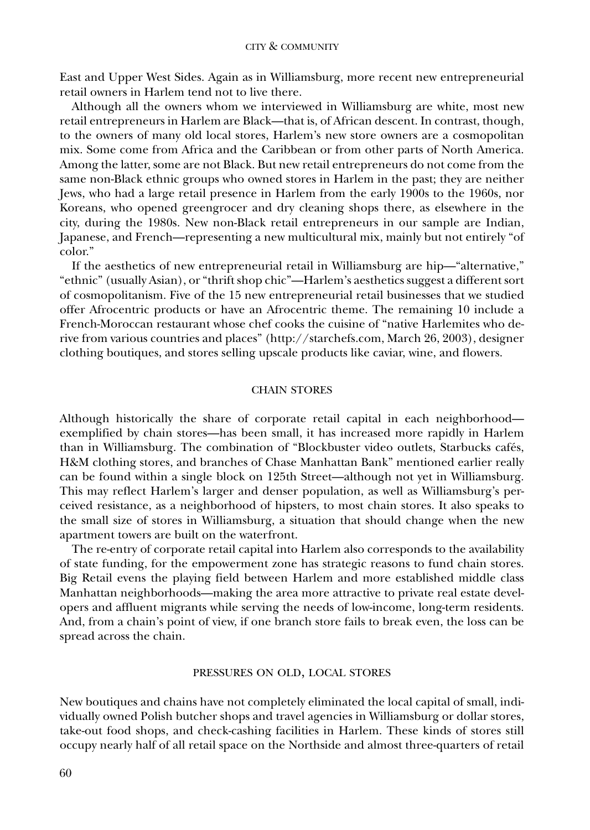East and Upper West Sides. Again as in Williamsburg, more recent new entrepreneurial retail owners in Harlem tend not to live there.

Although all the owners whom we interviewed in Williamsburg are white, most new retail entrepreneurs in Harlem are Black—that is, of African descent. In contrast, though, to the owners of many old local stores, Harlem's new store owners are a cosmopolitan mix. Some come from Africa and the Caribbean or from other parts of North America. Among the latter, some are not Black. But new retail entrepreneurs do not come from the same non-Black ethnic groups who owned stores in Harlem in the past; they are neither Jews, who had a large retail presence in Harlem from the early 1900s to the 1960s, nor Koreans, who opened greengrocer and dry cleaning shops there, as elsewhere in the city, during the 1980s. New non-Black retail entrepreneurs in our sample are Indian, Japanese, and French—representing a new multicultural mix, mainly but not entirely "of color."

If the aesthetics of new entrepreneurial retail in Williamsburg are hip—"alternative," "ethnic" (usually Asian), or "thrift shop chic"—Harlem's aesthetics suggest a different sort of cosmopolitanism. Five of the 15 new entrepreneurial retail businesses that we studied offer Afrocentric products or have an Afrocentric theme. The remaining 10 include a French-Moroccan restaurant whose chef cooks the cuisine of "native Harlemites who derive from various countries and places" (http://starchefs.com, March 26, 2003), designer clothing boutiques, and stores selling upscale products like caviar, wine, and flowers.

#### CHAIN STORES

Although historically the share of corporate retail capital in each neighborhood exemplified by chain stores—has been small, it has increased more rapidly in Harlem than in Williamsburg. The combination of "Blockbuster video outlets, Starbucks cafes, ´ H&M clothing stores, and branches of Chase Manhattan Bank" mentioned earlier really can be found within a single block on 125th Street—although not yet in Williamsburg. This may reflect Harlem's larger and denser population, as well as Williamsburg's perceived resistance, as a neighborhood of hipsters, to most chain stores. It also speaks to the small size of stores in Williamsburg, a situation that should change when the new apartment towers are built on the waterfront.

The re-entry of corporate retail capital into Harlem also corresponds to the availability of state funding, for the empowerment zone has strategic reasons to fund chain stores. Big Retail evens the playing field between Harlem and more established middle class Manhattan neighborhoods—making the area more attractive to private real estate developers and affluent migrants while serving the needs of low-income, long-term residents. And, from a chain's point of view, if one branch store fails to break even, the loss can be spread across the chain.

#### PRESSURES ON OLD, LOCAL STORES

New boutiques and chains have not completely eliminated the local capital of small, individually owned Polish butcher shops and travel agencies in Williamsburg or dollar stores, take-out food shops, and check-cashing facilities in Harlem. These kinds of stores still occupy nearly half of all retail space on the Northside and almost three-quarters of retail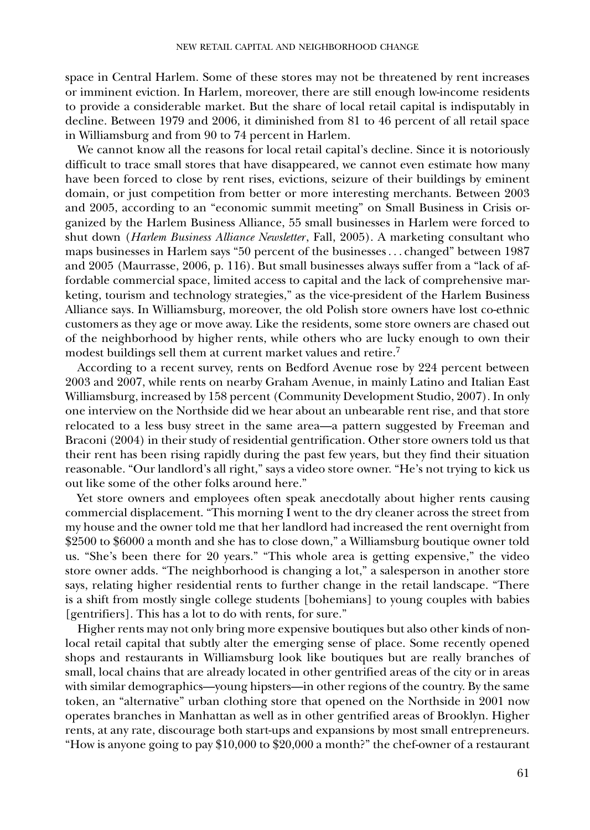space in Central Harlem. Some of these stores may not be threatened by rent increases or imminent eviction. In Harlem, moreover, there are still enough low-income residents to provide a considerable market. But the share of local retail capital is indisputably in decline. Between 1979 and 2006, it diminished from 81 to 46 percent of all retail space in Williamsburg and from 90 to 74 percent in Harlem.

We cannot know all the reasons for local retail capital's decline. Since it is notoriously difficult to trace small stores that have disappeared, we cannot even estimate how many have been forced to close by rent rises, evictions, seizure of their buildings by eminent domain, or just competition from better or more interesting merchants. Between 2003 and 2005, according to an "economic summit meeting" on Small Business in Crisis organized by the Harlem Business Alliance, 55 small businesses in Harlem were forced to shut down (*Harlem Business Alliance Newsletter*, Fall, 2005). A marketing consultant who maps businesses in Harlem says "50 percent of the businesses... changed" between 1987 and 2005 (Maurrasse, 2006, p. 116). But small businesses always suffer from a "lack of affordable commercial space, limited access to capital and the lack of comprehensive marketing, tourism and technology strategies," as the vice-president of the Harlem Business Alliance says. In Williamsburg, moreover, the old Polish store owners have lost co-ethnic customers as they age or move away. Like the residents, some store owners are chased out of the neighborhood by higher rents, while others who are lucky enough to own their modest buildings sell them at current market values and retire.<sup>7</sup>

According to a recent survey, rents on Bedford Avenue rose by 224 percent between 2003 and 2007, while rents on nearby Graham Avenue, in mainly Latino and Italian East Williamsburg, increased by 158 percent (Community Development Studio, 2007). In only one interview on the Northside did we hear about an unbearable rent rise, and that store relocated to a less busy street in the same area—a pattern suggested by Freeman and Braconi (2004) in their study of residential gentrification. Other store owners told us that their rent has been rising rapidly during the past few years, but they find their situation reasonable. "Our landlord's all right," says a video store owner. "He's not trying to kick us out like some of the other folks around here."

Yet store owners and employees often speak anecdotally about higher rents causing commercial displacement. "This morning I went to the dry cleaner across the street from my house and the owner told me that her landlord had increased the rent overnight from \$2500 to \$6000 a month and she has to close down," a Williamsburg boutique owner told us. "She's been there for 20 years." "This whole area is getting expensive," the video store owner adds. "The neighborhood is changing a lot," a salesperson in another store says, relating higher residential rents to further change in the retail landscape. "There is a shift from mostly single college students [bohemians] to young couples with babies [gentrifiers]. This has a lot to do with rents, for sure."

Higher rents may not only bring more expensive boutiques but also other kinds of nonlocal retail capital that subtly alter the emerging sense of place. Some recently opened shops and restaurants in Williamsburg look like boutiques but are really branches of small, local chains that are already located in other gentrified areas of the city or in areas with similar demographics—young hipsters—in other regions of the country. By the same token, an "alternative" urban clothing store that opened on the Northside in 2001 now operates branches in Manhattan as well as in other gentrified areas of Brooklyn. Higher rents, at any rate, discourage both start-ups and expansions by most small entrepreneurs. "How is anyone going to pay \$10,000 to \$20,000 a month?" the chef-owner of a restaurant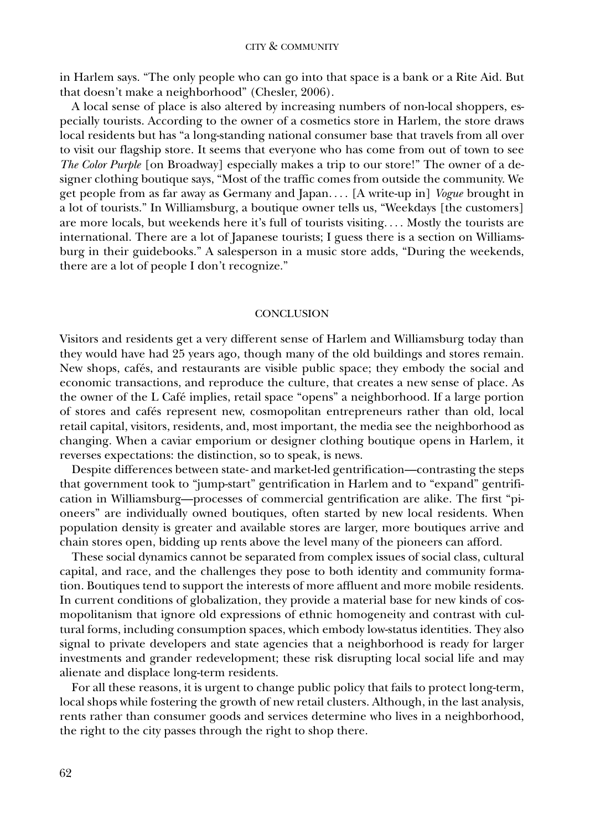in Harlem says. "The only people who can go into that space is a bank or a Rite Aid. But that doesn't make a neighborhood" (Chesler, 2006).

A local sense of place is also altered by increasing numbers of non-local shoppers, especially tourists. According to the owner of a cosmetics store in Harlem, the store draws local residents but has "a long-standing national consumer base that travels from all over to visit our flagship store. It seems that everyone who has come from out of town to see *The Color Purple* [on Broadway] especially makes a trip to our store!" The owner of a designer clothing boutique says, "Most of the traffic comes from outside the community. We get people from as far away as Germany and Japan... . [A write-up in] *Vogue* brought in a lot of tourists." In Williamsburg, a boutique owner tells us, "Weekdays [the customers] are more locals, but weekends here it's full of tourists visiting... . Mostly the tourists are international. There are a lot of Japanese tourists; I guess there is a section on Williamsburg in their guidebooks." A salesperson in a music store adds, "During the weekends, there are a lot of people I don't recognize."

#### **CONCLUSION**

Visitors and residents get a very different sense of Harlem and Williamsburg today than they would have had 25 years ago, though many of the old buildings and stores remain. New shops, cafés, and restaurants are visible public space; they embody the social and economic transactions, and reproduce the culture, that creates a new sense of place. As the owner of the L Café implies, retail space "opens" a neighborhood. If a large portion of stores and cafes represent new, cosmopolitan entrepreneurs rather than old, local ´ retail capital, visitors, residents, and, most important, the media see the neighborhood as changing. When a caviar emporium or designer clothing boutique opens in Harlem, it reverses expectations: the distinction, so to speak, is news.

Despite differences between state- and market-led gentrification—contrasting the steps that government took to "jump-start" gentrification in Harlem and to "expand" gentrification in Williamsburg—processes of commercial gentrification are alike. The first "pioneers" are individually owned boutiques, often started by new local residents. When population density is greater and available stores are larger, more boutiques arrive and chain stores open, bidding up rents above the level many of the pioneers can afford.

These social dynamics cannot be separated from complex issues of social class, cultural capital, and race, and the challenges they pose to both identity and community formation. Boutiques tend to support the interests of more affluent and more mobile residents. In current conditions of globalization, they provide a material base for new kinds of cosmopolitanism that ignore old expressions of ethnic homogeneity and contrast with cultural forms, including consumption spaces, which embody low-status identities. They also signal to private developers and state agencies that a neighborhood is ready for larger investments and grander redevelopment; these risk disrupting local social life and may alienate and displace long-term residents.

For all these reasons, it is urgent to change public policy that fails to protect long-term, local shops while fostering the growth of new retail clusters. Although, in the last analysis, rents rather than consumer goods and services determine who lives in a neighborhood, the right to the city passes through the right to shop there.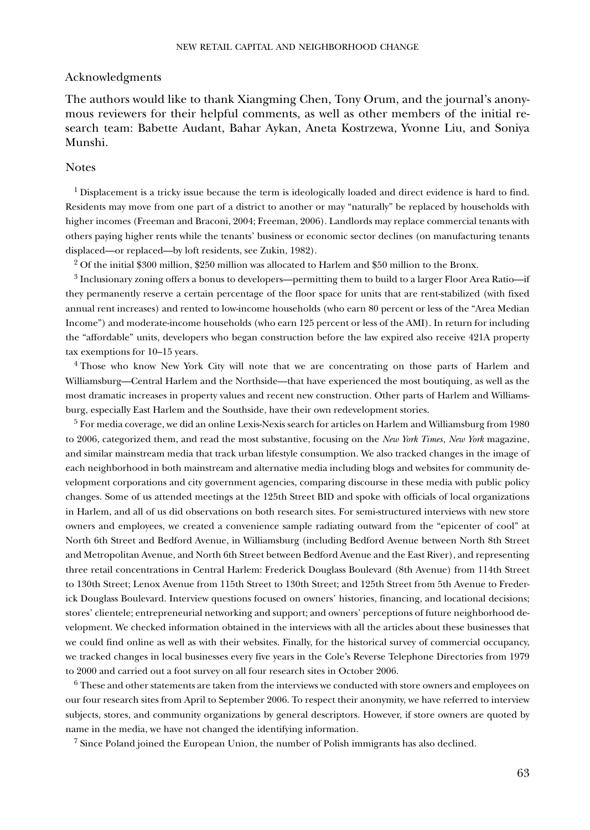#### Acknowledgments

The authors would like to thank Xiangming Chen, Tony Orum, and the journal's anonymous reviewers for their helpful comments, as well as other members of the initial research team: Babette Audant, Bahar Aykan, Aneta Kostrzewa, Yvonne Liu, and Soniya Munshi.

#### Notes

<sup>1</sup> Displacement is a tricky issue because the term is ideologically loaded and direct evidence is hard to find. Residents may move from one part of a district to another or may "naturally" be replaced by households with higher incomes (Freeman and Braconi, 2004; Freeman, 2006). Landlords may replace commercial tenants with others paying higher rents while the tenants' business or economic sector declines (on manufacturing tenants displaced—or replaced—by loft residents, see Zukin, 1982).

<sup>2</sup> Of the initial \$300 million, \$250 million was allocated to Harlem and \$50 million to the Bronx.

<sup>3</sup> Inclusionary zoning offers a bonus to developers—permitting them to build to a larger Floor Area Ratio—if they permanently reserve a certain percentage of the floor space for units that are rent-stabilized (with fixed annual rent increases) and rented to low-income households (who earn 80 percent or less of the "Area Median Income") and moderate-income households (who earn 125 percent or less of the AMI). In return for including the "affordable" units, developers who began construction before the law expired also receive 421A property tax exemptions for 10–15 years.

<sup>4</sup> Those who know New York City will note that we are concentrating on those parts of Harlem and Williamsburg—Central Harlem and the Northside—that have experienced the most boutiquing, as well as the most dramatic increases in property values and recent new construction. Other parts of Harlem and Williamsburg, especially East Harlem and the Southside, have their own redevelopment stories.

 $^5$  For media coverage, we did an online Lexis-Nexis search for articles on Harlem and Williamsburg from 1980 to 2006, categorized them, and read the most substantive, focusing on the *New York Times*, *New York* magazine, and similar mainstream media that track urban lifestyle consumption. We also tracked changes in the image of each neighborhood in both mainstream and alternative media including blogs and websites for community development corporations and city government agencies, comparing discourse in these media with public policy changes. Some of us attended meetings at the 125th Street BID and spoke with officials of local organizations in Harlem, and all of us did observations on both research sites. For semi-structured interviews with new store owners and employees, we created a convenience sample radiating outward from the "epicenter of cool" at North 6th Street and Bedford Avenue, in Williamsburg (including Bedford Avenue between North 8th Street and Metropolitan Avenue, and North 6th Street between Bedford Avenue and the East River), and representing three retail concentrations in Central Harlem: Frederick Douglass Boulevard (8th Avenue) from 114th Street to 130th Street; Lenox Avenue from 115th Street to 130th Street; and 125th Street from 5th Avenue to Frederick Douglass Boulevard. Interview questions focused on owners' histories, financing, and locational decisions; stores' clientele; entrepreneurial networking and support; and owners' perceptions of future neighborhood development. We checked information obtained in the interviews with all the articles about these businesses that we could find online as well as with their websites. Finally, for the historical survey of commercial occupancy, we tracked changes in local businesses every five years in the Cole's Reverse Telephone Directories from 1979 to 2000 and carried out a foot survey on all four research sites in October 2006.

<sup>6</sup> These and other statements are taken from the interviews we conducted with store owners and employees on our four research sites from April to September 2006. To respect their anonymity, we have referred to interview subjects, stores, and community organizations by general descriptors. However, if store owners are quoted by name in the media, we have not changed the identifying information.

 $<sup>7</sup>$  Since Poland joined the European Union, the number of Polish immigrants has also declined.</sup>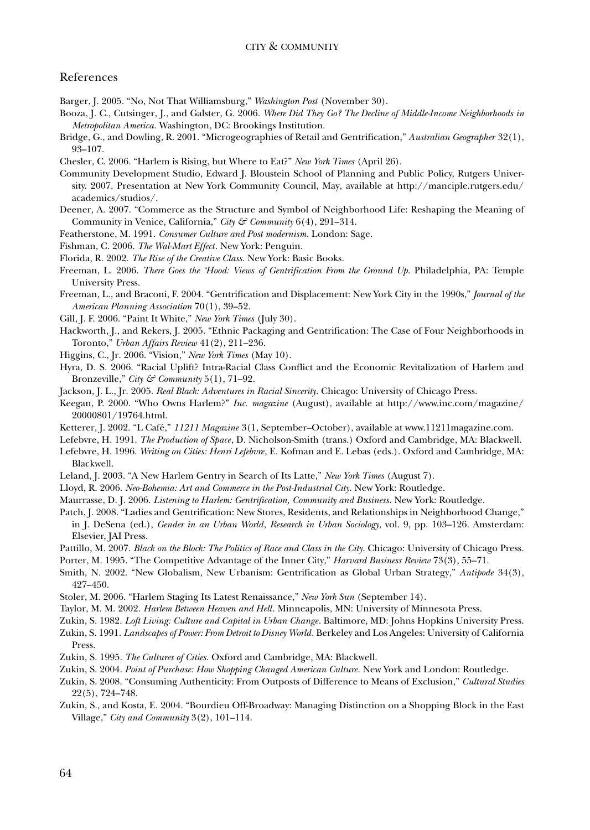#### CITY & COMMUNITY

## References

- Barger, J. 2005. "No, Not That Williamsburg," *Washington Post* (November 30).
- Booza, J. C., Cutsinger, J., and Galster, G. 2006. *Where Did They Go? The Decline of Middle-Income Neighborhoods in Metropolitan America*. Washington, DC: Brookings Institution.
- Bridge, G., and Dowling, R. 2001. "Microgeographies of Retail and Gentrification," *Australian Geographer* 32(1), 93–107.
- Chesler, C. 2006. "Harlem is Rising, but Where to Eat?" *New York Times* (April 26).
- Community Development Studio, Edward J. Bloustein School of Planning and Public Policy, Rutgers University. 2007. Presentation at New York Community Council, May, available at http://manciple.rutgers.edu/ academics/studios/.
- Deener, A. 2007. "Commerce as the Structure and Symbol of Neighborhood Life: Reshaping the Meaning of Community in Venice, California," *City & Community* 6(4), 291–314.
- Featherstone, M. 1991. *Consumer Culture and Post modernism*. London: Sage.
- Fishman, C. 2006. *The Wal-Mart Effect*. New York: Penguin.
- Florida, R. 2002. *The Rise of the Creative Class*. New York: Basic Books.
- Freeman, L. 2006. *There Goes the 'Hood: Views of Gentrification From the Ground Up*. Philadelphia, PA: Temple University Press.
- Freeman, L., and Braconi, F. 2004. "Gentrification and Displacement: New York City in the 1990s," *Journal of the American Planning Association* 70(1), 39–52.
- Gill, J. F. 2006. "Paint It White," *New York Times* (July 30).
- Hackworth, J., and Rekers, J. 2005. "Ethnic Packaging and Gentrification: The Case of Four Neighborhoods in Toronto," *Urban Affairs Review* 41(2), 211–236.
- Higgins, C., Jr. 2006. "Vision," *New York Times* (May 10).
- Hyra, D. S. 2006. "Racial Uplift? Intra-Racial Class Conflict and the Economic Revitalization of Harlem and Bronzeville," *City & Community* 5(1), 71–92.
- Jackson, J. L., Jr. 2005. *Real Black: Adventures in Racial Sincerity*. Chicago: University of Chicago Press.
- Keegan, P. 2000. "Who Owns Harlem?" *Inc. magazine* (August), available at http://www.inc.com/magazine/ 20000801/19764.html.
- Ketterer, J. 2002. "L Café," 11211 Magazine 3(1, September–October), available at www.11211magazine.com.
- Lefebvre, H. 1991. *The Production of Space*, D. Nicholson-Smith (trans.) Oxford and Cambridge, MA: Blackwell.
- Lefebvre, H. 1996. *Writing on Cities: Henri Lefebvre*, E. Kofman and E. Lebas (eds.). Oxford and Cambridge, MA: Blackwell.
- Leland, J. 2003. "A New Harlem Gentry in Search of Its Latte," *New York Times* (August 7).
- Lloyd, R. 2006. *Neo-Bohemia: Art and Commerce in the Post-Industrial City*. New York: Routledge.
- Maurrasse, D. J. 2006. *Listening to Harlem: Gentrification, Community and Business*. New York: Routledge.
- Patch, J. 2008. "Ladies and Gentrification: New Stores, Residents, and Relationships in Neighborhood Change," in J. DeSena (ed.), *Gender in an Urban World*, *Research in Urban Sociology*, vol. 9, pp. 103–126. Amsterdam: Elsevier, JAI Press.
- Pattillo, M. 2007. *Black on the Block: The Politics of Race and Class in the City*. Chicago: University of Chicago Press.
- Porter, M. 1995. "The Competitive Advantage of the Inner City," *Harvard Business Review* 73(3), 55–71.
- Smith, N. 2002. "New Globalism, New Urbanism: Gentrification as Global Urban Strategy," *Antipode* 34(3), 427–450.
- Stoler, M. 2006. "Harlem Staging Its Latest Renaissance," *New York Sun* (September 14).
- Taylor, M. M. 2002. *Harlem Between Heaven and Hell*. Minneapolis, MN: University of Minnesota Press.
- Zukin, S. 1982. *Loft Living: Culture and Capital in Urban Change*. Baltimore, MD: Johns Hopkins University Press.
- Zukin, S. 1991. *Landscapes of Power: From Detroit to Disney World*. Berkeley and Los Angeles: University of California Press.
- Zukin, S. 1995. *The Cultures of Cities*. Oxford and Cambridge, MA: Blackwell.
- Zukin, S. 2004. *Point of Purchase: How Shopping Changed American Culture*. New York and London: Routledge.
- Zukin, S. 2008. "Consuming Authenticity: From Outposts of Difference to Means of Exclusion," *Cultural Studies* 22(5), 724–748.
- Zukin, S., and Kosta, E. 2004. "Bourdieu Off-Broadway: Managing Distinction on a Shopping Block in the East Village," *City and Community* 3(2), 101–114.